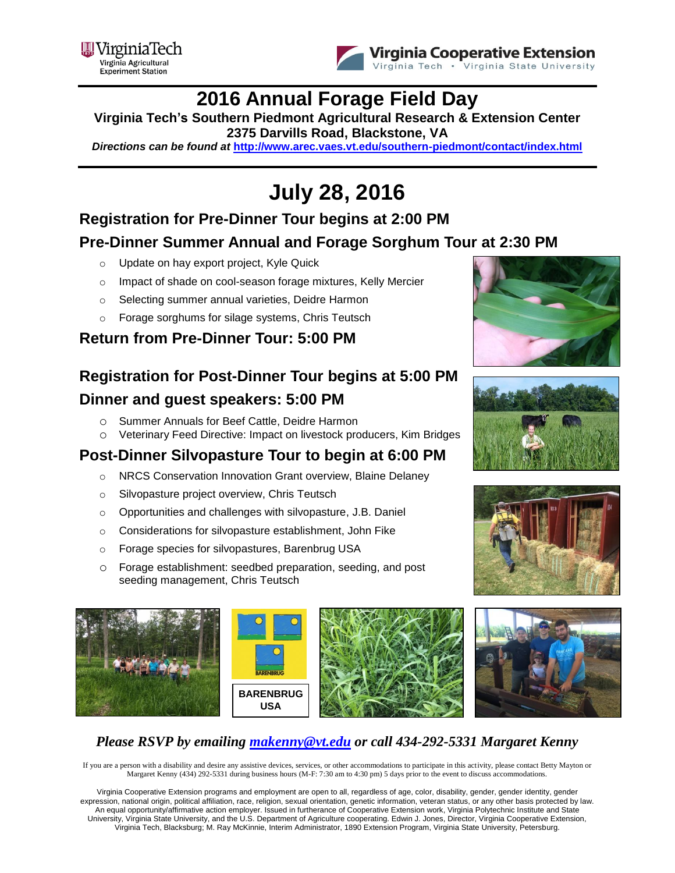



### **2016 Annual Forage Field Day**

**Virginia Tech's Southern Piedmont Agricultural Research & Extension Center 2375 Darvills Road, Blackstone, VA** 

*Directions can be found at* **<http://www.arec.vaes.vt.edu/southern-piedmont/contact/index.html>**

# **July 28, 2016**

#### **Registration for Pre-Dinner Tour begins at 2:00 PM Pre-Dinner Summer Annual and Forage Sorghum Tour at 2:30 PM**

- o Update on hay export project, Kyle Quick
- o Impact of shade on cool-season forage mixtures, Kelly Mercier
- o Selecting summer annual varieties, Deidre Harmon
- o Forage sorghums for silage systems, Chris Teutsch

#### **Return from Pre-Dinner Tour: 5:00 PM**

### **Registration for Post-Dinner Tour begins at 5:00 PM Dinner and guest speakers: 5:00 PM**

- o Summer Annuals for Beef Cattle, Deidre Harmon
- o Veterinary Feed Directive: Impact on livestock producers, Kim Bridges

#### **Post-Dinner Silvopasture Tour to begin at 6:00 PM**

- o NRCS Conservation Innovation Grant overview, Blaine Delaney
- o Silvopasture project overview, Chris Teutsch
- o Opportunities and challenges with silvopasture, J.B. Daniel
- o Considerations for silvopasture establishment, John Fike
- o Forage species for silvopastures, Barenbrug USA
- o Forage establishment: seedbed preparation, seeding, and post seeding management, Chris Teutsch















#### *Please RSVP by emailing [makenny@vt.edu](mailto:makenny@vt.edu) or call 434-292-5331 Margaret Kenny*

If you are a person with a disability and desire any assistive devices, services, or other accommodations to participate in this activity, please contact Betty Mayton or Margaret Kenny (434) 292-5331 during business hours (M-F: 7:30 am to 4:30 pm) 5 days prior to the event to discuss accommodations.

Virginia Cooperative Extension programs and employment are open to all, regardless of age, color, disability, gender, gender identity, gender expression, national origin, political affiliation, race, religion, sexual orientation, genetic information, veteran status, or any other basis protected by law. An equal opportunity/affirmative action employer. Issued in furtherance of Cooperative Extension work, Virginia Polytechnic Institute and State University, Virginia State University, and the U.S. Department of Agriculture cooperating. Edwin J. Jones, Director, Virginia Cooperative Extension, Virginia Tech, Blacksburg; M. Ray McKinnie, Interim Administrator, 1890 Extension Program, Virginia State University, Petersburg.